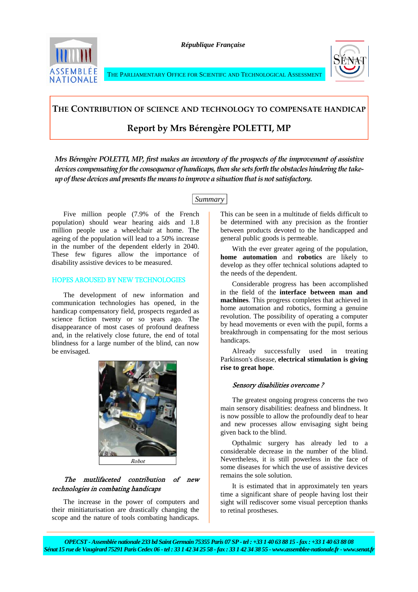

*République Française* 





# **THE CONTRIBUTION OF SCIENCE AND TECHNOLOGY TO COMPENSATE HANDICAP**

# **Report by Mrs Bérengère POLETTI, MP**

*Mrs Bérengère POLETTI, MP, first makes an inventory of the prospects of the improvement of assistive devices compensating forthe consequenceofhandicaps,then she sets forth the obstacleshindering the take‐ upofthesedevicesandpresents themeans toimproveasituation thatisnot satisfactory.*

# *Summary*

Five million people (7.9% of the French population) should wear hearing aids and 1.8 million people use a wheelchair at home. The ageing of the population will lead to a 50% increase in the number of the dependent elderly in 2040. These few figures allow the importance of disability assistive devices to be measured.

# HOPES AROUSED BY NEW TECHNOLOGIES

The development of new information and communication technologies has opened, in the handicap compensatory field, prospects regarded as science fiction twenty or so years ago. The disappearance of most cases of profound deafness and, in the relatively close future, the end of total blindness for a large number of the blind, can now be envisaged.



# The mutlifaceted contribution of new technologies in combating handicaps

The increase in the power of computers and their minitiaturisation are drastically changing the scope and the nature of tools combating handicaps.

This can be seen in a multitude of fields difficult to be determined with any precision as the frontier between products devoted to the handicapped and general public goods is permeable.

With the ever greater ageing of the population, **home automation** and **robotics** are likely to develop as they offer technical solutions adapted to the needs of the dependent.

Considerable progress has been accomplished in the field of the **interface between man and machines**. This progress completes that achieved in home automation and robotics, forming a genuine revolution. The possibility of operating a computer by head movements or even with the pupil, forms a breakthrough in compensating for the most serious handicaps.

Already successfully used in treating Parkinson's disease, **electrical stimulation is giving rise to great hope**.

# Sensory disabilities overcome ?

The greatest ongoing progress concerns the two main sensory disabilities: deafness and blindness. It is now possible to allow the profoundly deaf to hear and new processes allow envisaging sight being given back to the blind.

Opthalmic surgery has already led to a considerable decrease in the number of the blind. Nevertheless, it is still powerless in the face of some diseases for which the use of assistive devices remains the sole solution.

It is estimated that in approximately ten years time a significant share of people having lost their sight will rediscover some visual perception thanks to retinal prostheses.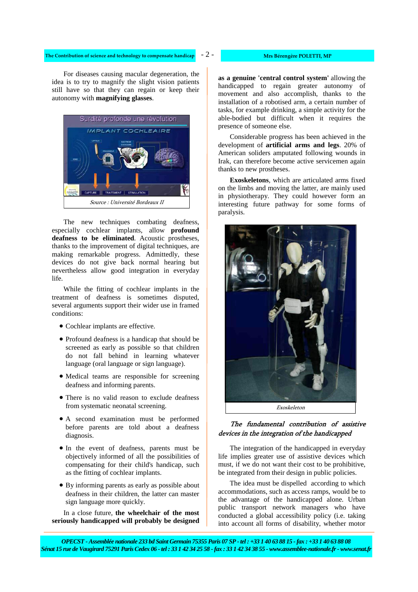### **The** Contribution of science and technology to compensate handicap  $\overline{a}$   $\overline{a}$   $\overline{a}$   $\overline{a}$  **Mrs** Bérengère POLETTI, MP

- 2 -

For diseases causing macular degeneration, the idea is to try to magnify the slight vision patients still have so that they can regain or keep their autonomy with **magnifying glasses**.



The new techniques combating deafness, especially cochlear implants, allow **profound deafness to be eliminated**. Acoustic prostheses, thanks to the improvement of digital techniques, are making remarkable progress. Admittedly, these devices do not give back normal hearing but nevertheless allow good integration in everyday life.

While the fitting of cochlear implants in the treatment of deafness is sometimes disputed, several arguments support their wider use in framed conditions:

- Cochlear implants are effective.
- Profound deafness is a handicap that should be screened as early as possible so that children do not fall behind in learning whatever language (oral language or sign language).
- Medical teams are responsible for screening deafness and informing parents.
- There is no valid reason to exclude deafness from systematic neonatal screening.
- A second examination must be performed before parents are told about a deafness diagnosis.
- In the event of deafness, parents must be objectively informed of all the possibilities of compensating for their child's handicap, such as the fitting of cochlear implants.
- By informing parents as early as possible about deafness in their children, the latter can master sign language more quickly.

In a close future, **the wheelchair of the most seriously handicapped will probably be designed**  **as a genuine 'central control system'** allowing the handicapped to regain greater autonomy of movement and also accomplish, thanks to the installation of a robotised arm, a certain number of tasks, for example drinking, a simple activity for the able-bodied but difficult when it requires the presence of someone else.

Considerable progress has been achieved in the development of **artificial arms and legs**. 20% of American soliders amputated following wounds in Irak, can therefore become active servicemen again thanks to new prostheses.

**Exoskeletons**, which are articulated arms fixed on the limbs and moving the latter, are mainly used in physiotherapy. They could however form an interesting future pathway for some forms of paralysis.



# The fundamental contribution of assistive devices in the integration of the handicapped

The integration of the handicapped in everyday life implies greater use of assistive devices which must, if we do not want their cost to be prohibitive, be integrated from their design in public policies.

The idea must be dispelled according to which accommodations, such as access ramps, would be to the advantage of the handicapped alone. Urban public transport network managers who have conducted a global accessibility policy (i.e. taking into account all forms of disability, whether motor

*OPECST - Assemblée nationale 233 bd Saint Germain 75355 Paris 07 SP - tel : +33 1 40 63 88 15 - fax : +33 1 40 63 88 08 Sénat 15 rue de Vaugirard 75291 Paris Cedex 06 - tel : 33 1 42 34 25 58 - fax : 33 1 42 34 38 55 - www.assemblee-nationale.fr - www.senat.fr*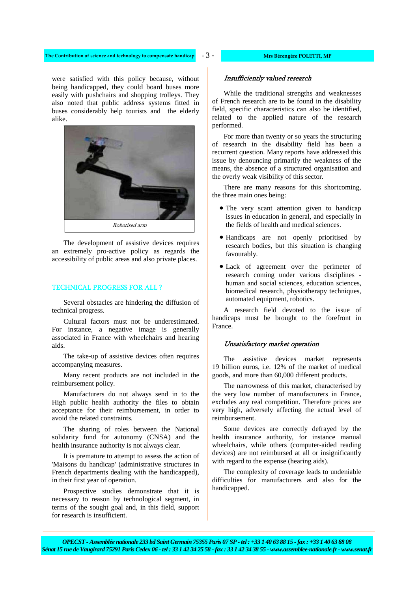- 3 - **The Contribution of science and technology to compensate handicap Mrs Bérengère POLETTI, MP**

were satisfied with this policy because, without being handicapped, they could board buses more easily with pushchairs and shopping trolleys. They also noted that public address systems fitted in buses considerably help tourists and the elderly alike.



The development of assistive devices requires an extremely pro-active policy as regards the accessibility of public areas and also private places.

### TECHNICAL PROGRESS FOR ALL ?

Several obstacles are hindering the diffusion of technical progress.

Cultural factors must not be underestimated. For instance, a negative image is generally associated in France with wheelchairs and hearing aids.

The take-up of assistive devices often requires accompanying measures.

Many recent products are not included in the reimbursement policy.

Manufacturers do not always send in to the High public health authority the files to obtain acceptance for their reimbursement, in order to avoid the related constraints.

The sharing of roles between the National solidarity fund for autonomy (CNSA) and the health insurance authority is not always clear.

It is premature to attempt to assess the action of 'Maisons du handicap' (administrative structures in French departments dealing with the handicapped), in their first year of operation.

Prospective studies demonstrate that it is necessary to reason by technological segment, in terms of the sought goal and, in this field, support for research is insufficient.

# Insufficiently valued research

While the traditional strengths and weaknesses of French research are to be found in the disability field, specific characteristics can also be identified, related to the applied nature of the research performed.

For more than twenty or so years the structuring of research in the disability field has been a recurrent question. Many reports have addressed this issue by denouncing primarily the weakness of the means, the absence of a structured organisation and the overly weak visibility of this sector.

There are many reasons for this shortcoming, the three main ones being:

- The very scant attention given to handicap issues in education in general, and especially in the fields of health and medical sciences.
- Handicaps are not openly prioritised by research bodies, but this situation is changing favourably.
- Lack of agreement over the perimeter of research coming under various disciplines human and social sciences, education sciences, biomedical research, physiotherapy techniques, automated equipment, robotics.

A research field devoted to the issue of handicaps must be brought to the forefront in France.

# Unsatisfactory market operation

The assistive devices market represents 19 billion euros, i.e. 12% of the market of medical goods, and more than 60,000 different products.

The narrowness of this market, characterised by the very low number of manufacturers in France, excludes any real competition. Therefore prices are very high, adversely affecting the actual level of reimbursement.

Some devices are correctly defrayed by the health insurance authority, for instance manual wheelchairs, while others (computer-aided reading devices) are not reimbursed at all or insignificantly with regard to the expense (hearing aids).

The complexity of coverage leads to undeniable difficulties for manufacturers and also for the handicapped.

*OPECST - Assemblée nationale 233 bd Saint Germain 75355 Paris 07 SP - tel : +33 1 40 63 88 15 - fax : +33 1 40 63 88 08 Sénat 15 rue de Vaugirard 75291 Paris Cedex 06 - tel : 33 1 42 34 25 58 - fax : 33 1 42 34 38 55 - www.assemblee-nationale.fr - www.senat.fr*